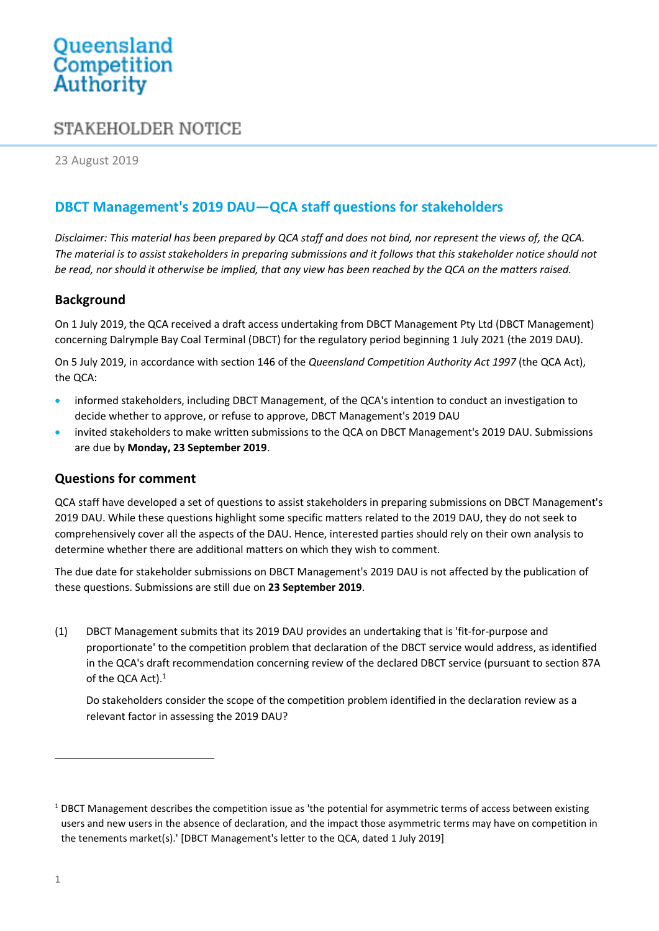# Queensland<br>Competition Authority

# STAKEHOLDER NOTICE

23 August 2019

# **DBCT Management's 2019 DAU—QCA staff questions for stakeholders**

*Disclaimer: This material has been prepared by QCA staff and does not bind, nor represent the views of, the QCA. The material is to assist stakeholders in preparing submissions and it follows that this stakeholder notice should not be read, nor should it otherwise be implied, that any view has been reached by the QCA on the matters raised.*

## **Background**

On 1 July 2019, the QCA received a draft access undertaking from DBCT Management Pty Ltd (DBCT Management) concerning Dalrymple Bay Coal Terminal (DBCT) for the regulatory period beginning 1 July 2021 (the 2019 DAU).

On 5 July 2019, in accordance with section 146 of the *Queensland Competition Authority Act 1997* (the QCA Act), the QCA:

- informed stakeholders, including DBCT Management, of the QCA's intention to conduct an investigation to decide whether to approve, or refuse to approve, DBCT Management's 2019 DAU
- invited stakeholders to make written submissions to the QCA on DBCT Management's 2019 DAU. Submissions are due by **Monday, 23 September 2019**.

#### **Questions for comment**

QCA staff have developed a set of questions to assist stakeholders in preparing submissions on DBCT Management's 2019 DAU. While these questions highlight some specific matters related to the 2019 DAU, they do not seek to comprehensively cover all the aspects of the DAU. Hence, interested parties should rely on their own analysis to determine whether there are additional matters on which they wish to comment.

The due date for stakeholder submissions on DBCT Management's 2019 DAU is not affected by the publication of these questions. Submissions are still due on **23 September 2019**.

(1) DBCT Management submits that its 2019 DAU provides an undertaking that is 'fit-for-purpose and proportionate' to the competition problem that declaration of the DBCT service would address, as identified in the QCA's draft recommendation concerning review of the declared DBCT service (pursuant to section 87A of the QCA Act). 1

Do stakeholders consider the scope of the competition problem identified in the declaration review as a relevant factor in assessing the 2019 DAU?

 $\overline{a}$ 

<sup>&</sup>lt;sup>1</sup> DBCT Management describes the competition issue as 'the potential for asymmetric terms of access between existing users and new users in the absence of declaration, and the impact those asymmetric terms may have on competition in the tenements market(s).' [DBCT Management's letter to the QCA, dated 1 July 2019]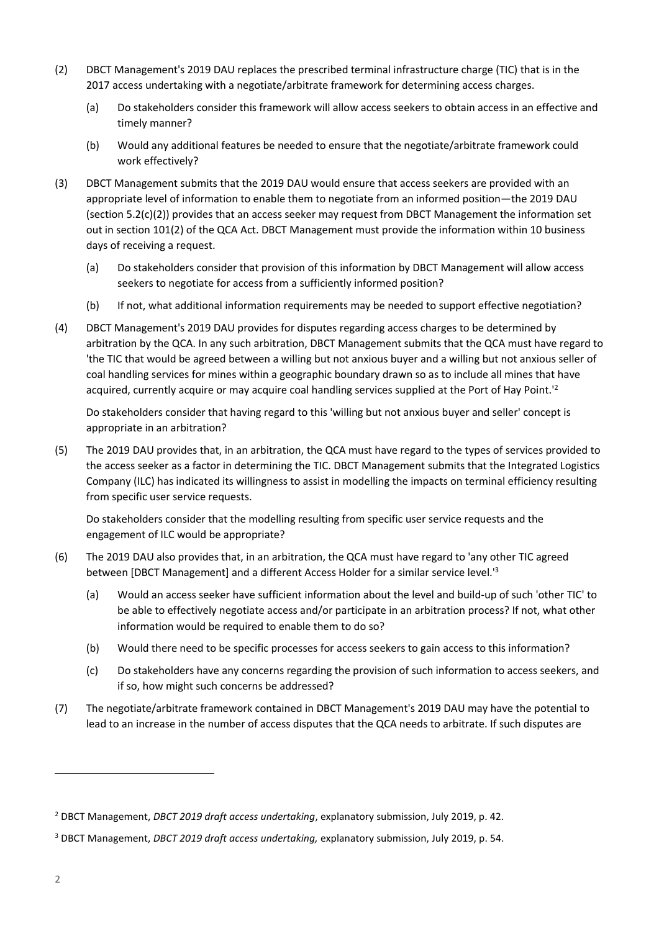- (2) DBCT Management's 2019 DAU replaces the prescribed terminal infrastructure charge (TIC) that is in the 2017 access undertaking with a negotiate/arbitrate framework for determining access charges.
	- (a) Do stakeholders consider this framework will allow access seekers to obtain access in an effective and timely manner?
	- (b) Would any additional features be needed to ensure that the negotiate/arbitrate framework could work effectively?
- (3) DBCT Management submits that the 2019 DAU would ensure that access seekers are provided with an appropriate level of information to enable them to negotiate from an informed position—the 2019 DAU (section 5.2(c)(2)) provides that an access seeker may request from DBCT Management the information set out in section 101(2) of the QCA Act. DBCT Management must provide the information within 10 business days of receiving a request.
	- (a) Do stakeholders consider that provision of this information by DBCT Management will allow access seekers to negotiate for access from a sufficiently informed position?
	- (b) If not, what additional information requirements may be needed to support effective negotiation?
- (4) DBCT Management's 2019 DAU provides for disputes regarding access charges to be determined by arbitration by the QCA. In any such arbitration, DBCT Management submits that the QCA must have regard to 'the TIC that would be agreed between a willing but not anxious buyer and a willing but not anxious seller of coal handling services for mines within a geographic boundary drawn so as to include all mines that have acquired, currently acquire or may acquire coal handling services supplied at the Port of Hay Point.'<sup>2</sup>

Do stakeholders consider that having regard to this 'willing but not anxious buyer and seller' concept is appropriate in an arbitration?

(5) The 2019 DAU provides that, in an arbitration, the QCA must have regard to the types of services provided to the access seeker as a factor in determining the TIC. DBCT Management submits that the Integrated Logistics Company (ILC) has indicated its willingness to assist in modelling the impacts on terminal efficiency resulting from specific user service requests.

Do stakeholders consider that the modelling resulting from specific user service requests and the engagement of ILC would be appropriate?

- (6) The 2019 DAU also provides that, in an arbitration, the QCA must have regard to 'any other TIC agreed between [DBCT Management] and a different Access Holder for a similar service level.'<sup>3</sup>
	- (a) Would an access seeker have sufficient information about the level and build-up of such 'other TIC' to be able to effectively negotiate access and/or participate in an arbitration process? If not, what other information would be required to enable them to do so?
	- (b) Would there need to be specific processes for access seekers to gain access to this information?
	- (c) Do stakeholders have any concerns regarding the provision of such information to access seekers, and if so, how might such concerns be addressed?
- (7) The negotiate/arbitrate framework contained in DBCT Management's 2019 DAU may have the potential to lead to an increase in the number of access disputes that the QCA needs to arbitrate. If such disputes are

 $\overline{a}$ 

<sup>2</sup> DBCT Management, *DBCT 2019 draft access undertaking*, explanatory submission, July 2019, p. 42.

<sup>3</sup> DBCT Management, *DBCT 2019 draft access undertaking,* explanatory submission, July 2019, p. 54.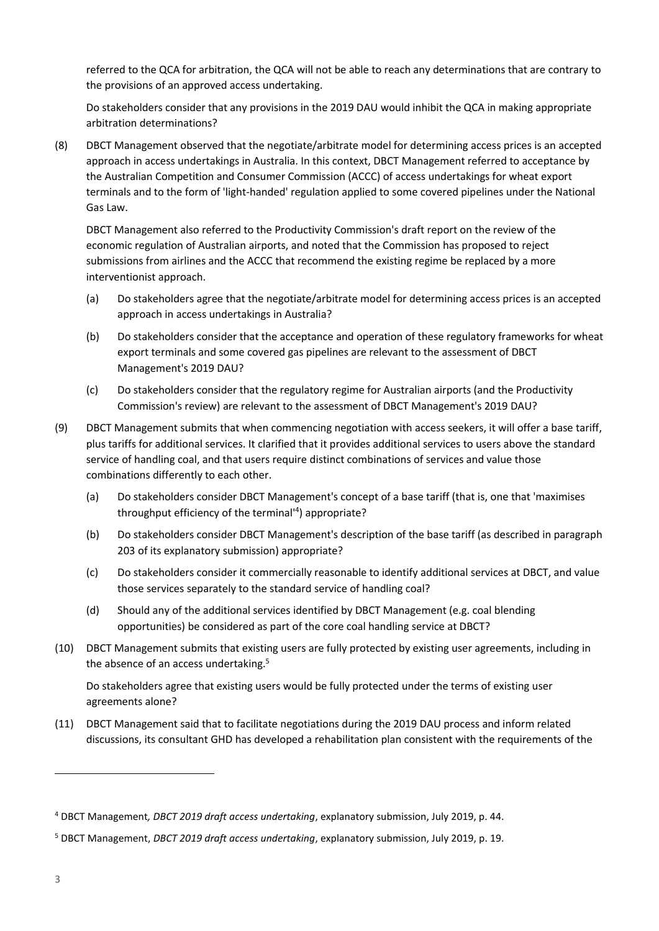referred to the QCA for arbitration, the QCA will not be able to reach any determinations that are contrary to the provisions of an approved access undertaking.

Do stakeholders consider that any provisions in the 2019 DAU would inhibit the QCA in making appropriate arbitration determinations?

(8) DBCT Management observed that the negotiate/arbitrate model for determining access prices is an accepted approach in access undertakings in Australia. In this context, DBCT Management referred to acceptance by the Australian Competition and Consumer Commission (ACCC) of access undertakings for wheat export terminals and to the form of 'light-handed' regulation applied to some covered pipelines under the National Gas Law.

DBCT Management also referred to the Productivity Commission's draft report on the review of the economic regulation of Australian airports, and noted that the Commission has proposed to reject submissions from airlines and the ACCC that recommend the existing regime be replaced by a more interventionist approach.

- (a) Do stakeholders agree that the negotiate/arbitrate model for determining access prices is an accepted approach in access undertakings in Australia?
- (b) Do stakeholders consider that the acceptance and operation of these regulatory frameworks for wheat export terminals and some covered gas pipelines are relevant to the assessment of DBCT Management's 2019 DAU?
- (c) Do stakeholders consider that the regulatory regime for Australian airports (and the Productivity Commission's review) are relevant to the assessment of DBCT Management's 2019 DAU?
- (9) DBCT Management submits that when commencing negotiation with access seekers, it will offer a base tariff, plus tariffs for additional services. It clarified that it provides additional services to users above the standard service of handling coal, and that users require distinct combinations of services and value those combinations differently to each other.
	- (a) Do stakeholders consider DBCT Management's concept of a base tariff (that is, one that 'maximises throughput efficiency of the terminal' 4 ) appropriate?
	- (b) Do stakeholders consider DBCT Management's description of the base tariff (as described in paragraph 203 of its explanatory submission) appropriate?
	- (c) Do stakeholders consider it commercially reasonable to identify additional services at DBCT, and value those services separately to the standard service of handling coal?
	- (d) Should any of the additional services identified by DBCT Management (e.g. coal blending opportunities) be considered as part of the core coal handling service at DBCT?
- (10) DBCT Management submits that existing users are fully protected by existing user agreements, including in the absence of an access undertaking.<sup>5</sup>

Do stakeholders agree that existing users would be fully protected under the terms of existing user agreements alone?

(11) DBCT Management said that to facilitate negotiations during the 2019 DAU process and inform related discussions, its consultant GHD has developed a rehabilitation plan consistent with the requirements of the

 $\overline{a}$ 

<sup>4</sup> DBCT Management*, DBCT 2019 draft access undertaking*, explanatory submission, July 2019, p. 44.

<sup>5</sup> DBCT Management, *DBCT 2019 draft access undertaking*, explanatory submission, July 2019, p. 19.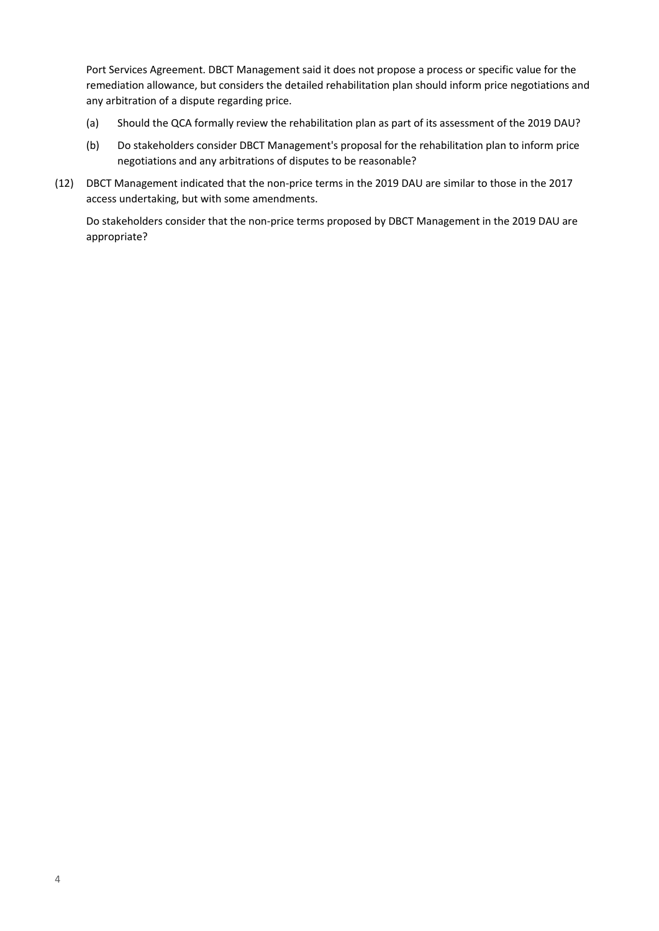Port Services Agreement. DBCT Management said it does not propose a process or specific value for the remediation allowance, but considers the detailed rehabilitation plan should inform price negotiations and any arbitration of a dispute regarding price.

- (a) Should the QCA formally review the rehabilitation plan as part of its assessment of the 2019 DAU?
- (b) Do stakeholders consider DBCT Management's proposal for the rehabilitation plan to inform price negotiations and any arbitrations of disputes to be reasonable?
- (12) DBCT Management indicated that the non-price terms in the 2019 DAU are similar to those in the 2017 access undertaking, but with some amendments.

Do stakeholders consider that the non-price terms proposed by DBCT Management in the 2019 DAU are appropriate?